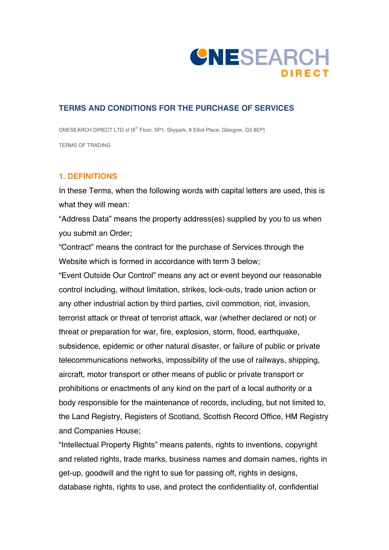

## **TERMS AND CONDITIONS FOR THE PURCHASE OF SERVICES**

ONESEARCH DIRECT LTD of [6<sup>th</sup> Floor, SP1, Skypark, 8 Elliot Place, Glasgow, G3 8EP] TERMS OF TRADING

## **1. DEFINITIONS**

In these Terms, when the following words with capital letters are used, this is what they will mean:

"Address Data" means the property address(es) supplied by you to us when you submit an Order;

"Contract" means the contract for the purchase of Services through the Website which is formed in accordance with term 3 below;

"Event Outside Our Control" means any act or event beyond our reasonable control including, without limitation, strikes, lock-outs, trade union action or any other industrial action by third parties, civil commotion, riot, invasion, terrorist attack or threat of terrorist attack, war (whether declared or not) or threat or preparation for war, fire, explosion, storm, flood, earthquake, subsidence, epidemic or other natural disaster, or failure of public or private telecommunications networks, impossibility of the use of railways, shipping, aircraft, motor transport or other means of public or private transport or prohibitions or enactments of any kind on the part of a local authority or a body responsible for the maintenance of records, including, but not limited to, the Land Registry, Registers of Scotland, Scottish Record Office, HM Registry and Companies House;

"Intellectual Property Rights" means patents, rights to inventions, copyright and related rights, trade marks, business names and domain names, rights in get-up, goodwill and the right to sue for passing off, rights in designs, database rights, rights to use, and protect the confidentiality of, confidential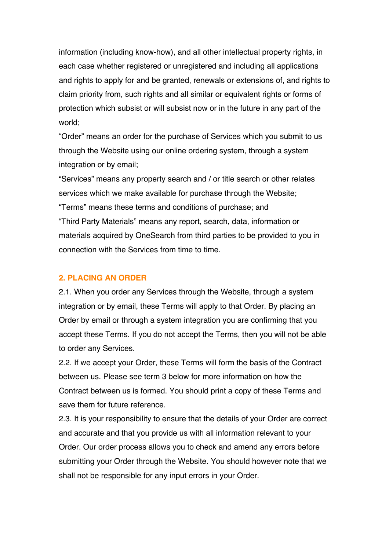information (including know-how), and all other intellectual property rights, in each case whether registered or unregistered and including all applications and rights to apply for and be granted, renewals or extensions of, and rights to claim priority from, such rights and all similar or equivalent rights or forms of protection which subsist or will subsist now or in the future in any part of the world;

"Order" means an order for the purchase of Services which you submit to us through the Website using our online ordering system, through a system integration or by email;

"Services" means any property search and / or title search or other relates services which we make available for purchase through the Website; "Terms" means these terms and conditions of purchase; and "Third Party Materials" means any report, search, data, information or materials acquired by OneSearch from third parties to be provided to you in connection with the Services from time to time.

#### **2. PLACING AN ORDER**

2.1. When you order any Services through the Website, through a system integration or by email, these Terms will apply to that Order. By placing an Order by email or through a system integration you are confirming that you accept these Terms. If you do not accept the Terms, then you will not be able to order any Services.

2.2. If we accept your Order, these Terms will form the basis of the Contract between us. Please see term 3 below for more information on how the Contract between us is formed. You should print a copy of these Terms and save them for future reference.

2.3. It is your responsibility to ensure that the details of your Order are correct and accurate and that you provide us with all information relevant to your Order. Our order process allows you to check and amend any errors before submitting your Order through the Website. You should however note that we shall not be responsible for any input errors in your Order.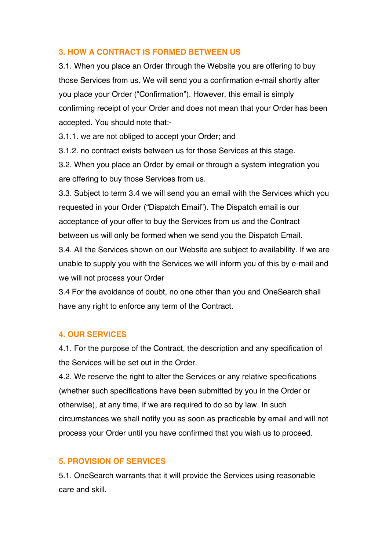# **3. HOW A CONTRACT IS FORMED BETWEEN US**

3.1. When you place an Order through the Website you are offering to buy those Services from us. We will send you a confirmation e-mail shortly after you place your Order ("Confirmation"). However, this email is simply confirming receipt of your Order and does not mean that your Order has been accepted. You should note that:-

3.1.1. we are not obliged to accept your Order; and

3.1.2. no contract exists between us for those Services at this stage.

3.2. When you place an Order by email or through a system integration you are offering to buy those Services from us.

3.3. Subject to term 3.4 we will send you an email with the Services which you requested in your Order ("Dispatch Email"). The Dispatch email is our acceptance of your offer to buy the Services from us and the Contract between us will only be formed when we send you the Dispatch Email.

3.4. All the Services shown on our Website are subject to availability. If we are unable to supply you with the Services we will inform you of this by e-mail and we will not process your Order

3.4 For the avoidance of doubt, no one other than you and OneSearch shall have any right to enforce any term of the Contract.

### **4. OUR SERVICES**

4.1. For the purpose of the Contract, the description and any specification of the Services will be set out in the Order.

4.2. We reserve the right to alter the Services or any relative specifications (whether such specifications have been submitted by you in the Order or otherwise), at any time, if we are required to do so by law. In such circumstances we shall notify you as soon as practicable by email and will not process your Order until you have confirmed that you wish us to proceed.

# **5. PROVISION OF SERVICES**

5.1. OneSearch warrants that it will provide the Services using reasonable care and skill.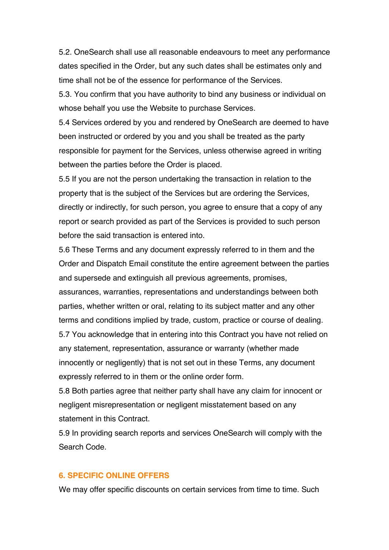5.2. OneSearch shall use all reasonable endeavours to meet any performance dates specified in the Order, but any such dates shall be estimates only and time shall not be of the essence for performance of the Services.

5.3. You confirm that you have authority to bind any business or individual on whose behalf you use the Website to purchase Services.

5.4 Services ordered by you and rendered by OneSearch are deemed to have been instructed or ordered by you and you shall be treated as the party responsible for payment for the Services, unless otherwise agreed in writing between the parties before the Order is placed.

5.5 If you are not the person undertaking the transaction in relation to the property that is the subject of the Services but are ordering the Services, directly or indirectly, for such person, you agree to ensure that a copy of any report or search provided as part of the Services is provided to such person before the said transaction is entered into.

5.6 These Terms and any document expressly referred to in them and the Order and Dispatch Email constitute the entire agreement between the parties and supersede and extinguish all previous agreements, promises, assurances, warranties, representations and understandings between both parties, whether written or oral, relating to its subject matter and any other terms and conditions implied by trade, custom, practice or course of dealing. 5.7 You acknowledge that in entering into this Contract you have not relied on any statement, representation, assurance or warranty (whether made innocently or negligently) that is not set out in these Terms, any document expressly referred to in them or the online order form.

5.8 Both parties agree that neither party shall have any claim for innocent or negligent misrepresentation or negligent misstatement based on any statement in this Contract.

5.9 In providing search reports and services OneSearch will comply with the Search Code.

### **6. SPECIFIC ONLINE OFFERS**

We may offer specific discounts on certain services from time to time. Such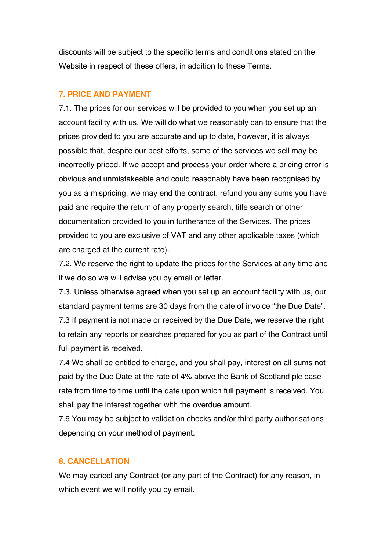discounts will be subject to the specific terms and conditions stated on the Website in respect of these offers, in addition to these Terms.

## **7. PRICE AND PAYMENT**

7.1. The prices for our services will be provided to you when you set up an account facility with us. We will do what we reasonably can to ensure that the prices provided to you are accurate and up to date, however, it is always possible that, despite our best efforts, some of the services we sell may be incorrectly priced. If we accept and process your order where a pricing error is obvious and unmistakeable and could reasonably have been recognised by you as a mispricing, we may end the contract, refund you any sums you have paid and require the return of any property search, title search or other documentation provided to you in furtherance of the Services. The prices provided to you are exclusive of VAT and any other applicable taxes (which are charged at the current rate).

7.2. We reserve the right to update the prices for the Services at any time and if we do so we will advise you by email or letter.

7.3. Unless otherwise agreed when you set up an account facility with us, our standard payment terms are 30 days from the date of invoice "the Due Date". 7.3 If payment is not made or received by the Due Date, we reserve the right to retain any reports or searches prepared for you as part of the Contract until full payment is received.

7.4 We shall be entitled to charge, and you shall pay, interest on all sums not paid by the Due Date at the rate of 4% above the Bank of Scotland plc base rate from time to time until the date upon which full payment is received. You shall pay the interest together with the overdue amount.

7.6 You may be subject to validation checks and/or third party authorisations depending on your method of payment.

# **8. CANCELLATION**

We may cancel any Contract (or any part of the Contract) for any reason, in which event we will notify you by email.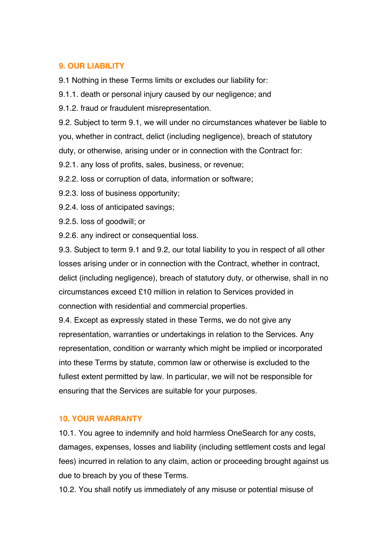# **9. OUR LIABILITY**

9.1 Nothing in these Terms limits or excludes our liability for:

9.1.1. death or personal injury caused by our negligence; and

9.1.2. fraud or fraudulent misrepresentation.

9.2. Subject to term 9.1, we will under no circumstances whatever be liable to you, whether in contract, delict (including negligence), breach of statutory duty, or otherwise, arising under or in connection with the Contract for:

9.2.1. any loss of profits, sales, business, or revenue;

9.2.2. loss or corruption of data, information or software;

9.2.3. loss of business opportunity;

9.2.4. loss of anticipated savings;

9.2.5. loss of goodwill; or

9.2.6. any indirect or consequential loss.

9.3. Subject to term 9.1 and 9.2, our total liability to you in respect of all other losses arising under or in connection with the Contract, whether in contract, delict (including negligence), breach of statutory duty, or otherwise, shall in no circumstances exceed £10 million in relation to Services provided in connection with residential and commercial properties.

9.4. Except as expressly stated in these Terms, we do not give any representation, warranties or undertakings in relation to the Services. Any representation, condition or warranty which might be implied or incorporated into these Terms by statute, common law or otherwise is excluded to the fullest extent permitted by law. In particular, we will not be responsible for ensuring that the Services are suitable for your purposes.

# **10. YOUR WARRANTY**

10.1. You agree to indemnify and hold harmless OneSearch for any costs, damages, expenses, losses and liability (including settlement costs and legal fees) incurred in relation to any claim, action or proceeding brought against us due to breach by you of these Terms.

10.2. You shall notify us immediately of any misuse or potential misuse of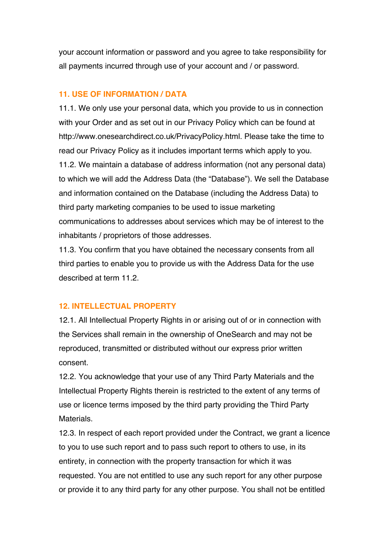your account information or password and you agree to take responsibility for all payments incurred through use of your account and / or password.

## **11. USE OF INFORMATION / DATA**

11.1. We only use your personal data, which you provide to us in connection with your Order and as set out in our Privacy Policy which can be found at http://www.onesearchdirect.co.uk/PrivacyPolicy.html. Please take the time to read our Privacy Policy as it includes important terms which apply to you. 11.2. We maintain a database of address information (not any personal data) to which we will add the Address Data (the "Database"). We sell the Database and information contained on the Database (including the Address Data) to third party marketing companies to be used to issue marketing communications to addresses about services which may be of interest to the inhabitants / proprietors of those addresses.

11.3. You confirm that you have obtained the necessary consents from all third parties to enable you to provide us with the Address Data for the use described at term 11.2.

# **12. INTELLECTUAL PROPERTY**

12.1. All Intellectual Property Rights in or arising out of or in connection with the Services shall remain in the ownership of OneSearch and may not be reproduced, transmitted or distributed without our express prior written consent.

12.2. You acknowledge that your use of any Third Party Materials and the Intellectual Property Rights therein is restricted to the extent of any terms of use or licence terms imposed by the third party providing the Third Party **Materials** 

12.3. In respect of each report provided under the Contract, we grant a licence to you to use such report and to pass such report to others to use, in its entirety, in connection with the property transaction for which it was requested. You are not entitled to use any such report for any other purpose or provide it to any third party for any other purpose. You shall not be entitled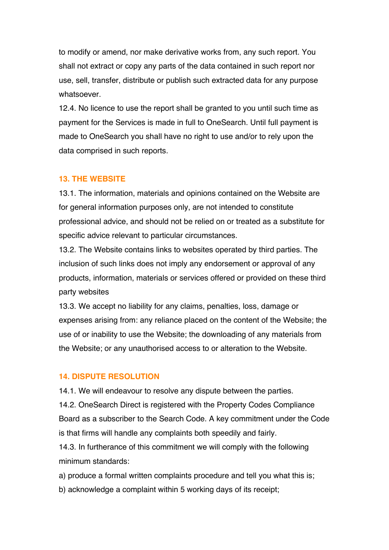to modify or amend, nor make derivative works from, any such report. You shall not extract or copy any parts of the data contained in such report nor use, sell, transfer, distribute or publish such extracted data for any purpose whatsoever.

12.4. No licence to use the report shall be granted to you until such time as payment for the Services is made in full to OneSearch. Until full payment is made to OneSearch you shall have no right to use and/or to rely upon the data comprised in such reports.

#### **13. THE WEBSITE**

13.1. The information, materials and opinions contained on the Website are for general information purposes only, are not intended to constitute professional advice, and should not be relied on or treated as a substitute for specific advice relevant to particular circumstances.

13.2. The Website contains links to websites operated by third parties. The inclusion of such links does not imply any endorsement or approval of any products, information, materials or services offered or provided on these third party websites

13.3. We accept no liability for any claims, penalties, loss, damage or expenses arising from: any reliance placed on the content of the Website; the use of or inability to use the Website; the downloading of any materials from the Website; or any unauthorised access to or alteration to the Website.

#### **14. DISPUTE RESOLUTION**

14.1. We will endeavour to resolve any dispute between the parties.

14.2. OneSearch Direct is registered with the Property Codes Compliance Board as a subscriber to the Search Code. A key commitment under the Code is that firms will handle any complaints both speedily and fairly.

14.3. In furtherance of this commitment we will comply with the following minimum standards:

a) produce a formal written complaints procedure and tell you what this is;

b) acknowledge a complaint within 5 working days of its receipt;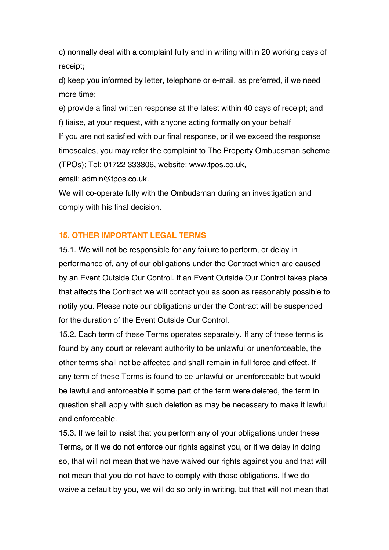c) normally deal with a complaint fully and in writing within 20 working days of receipt;

d) keep you informed by letter, telephone or e-mail, as preferred, if we need more time;

e) provide a final written response at the latest within 40 days of receipt; and f) liaise, at your request, with anyone acting formally on your behalf If you are not satisfied with our final response, or if we exceed the response timescales, you may refer the complaint to The Property Ombudsman scheme (TPOs); Tel: 01722 333306, website: [www.tpos.co.uk](http://www.tpos.co.uk/),

email: [admin@tpos.co.uk](mailto:admin@tpos.co.uk).

We will co-operate fully with the Ombudsman during an investigation and comply with his final decision.

### **15. OTHER IMPORTANT LEGAL TERMS**

15.1. We will not be responsible for any failure to perform, or delay in performance of, any of our obligations under the Contract which are caused by an Event Outside Our Control. If an Event Outside Our Control takes place that affects the Contract we will contact you as soon as reasonably possible to notify you. Please note our obligations under the Contract will be suspended for the duration of the Event Outside Our Control.

15.2. Each term of these Terms operates separately. If any of these terms is found by any court or relevant authority to be unlawful or unenforceable, the other terms shall not be affected and shall remain in full force and effect. If any term of these Terms is found to be unlawful or unenforceable but would be lawful and enforceable if some part of the term were deleted, the term in question shall apply with such deletion as may be necessary to make it lawful and enforceable.

15.3. If we fail to insist that you perform any of your obligations under these Terms, or if we do not enforce our rights against you, or if we delay in doing so, that will not mean that we have waived our rights against you and that will not mean that you do not have to comply with those obligations. If we do waive a default by you, we will do so only in writing, but that will not mean that